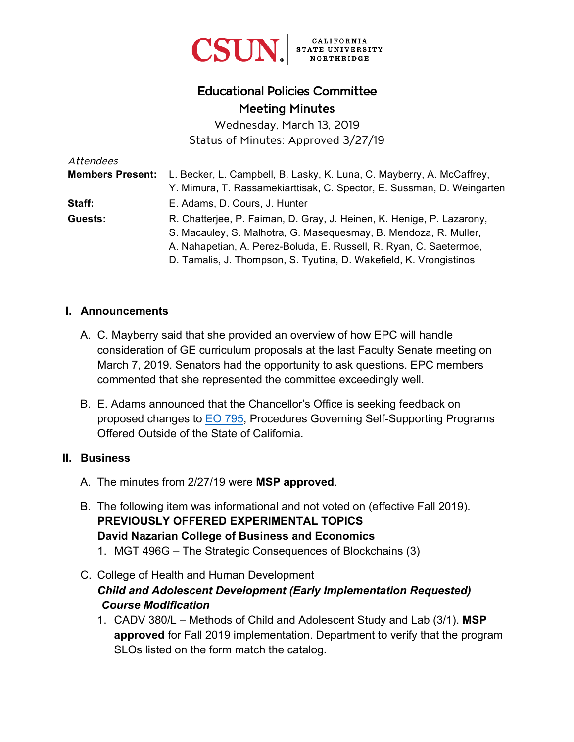

# Educational Policies Committee Meeting Minutes

Wednesday, March 13, 2019 Status of Minutes: Approved 3/27/19

| Attendees               |                                                                        |
|-------------------------|------------------------------------------------------------------------|
| <b>Members Present:</b> | L. Becker, L. Campbell, B. Lasky, K. Luna, C. Mayberry, A. McCaffrey,  |
|                         | Y. Mimura, T. Rassamekiarttisak, C. Spector, E. Sussman, D. Weingarten |
| Staff:                  | E. Adams, D. Cours, J. Hunter                                          |
| Guests:                 | R. Chatterjee, P. Faiman, D. Gray, J. Heinen, K. Henige, P. Lazarony,  |
|                         | S. Macauley, S. Malhotra, G. Masequesmay, B. Mendoza, R. Muller,       |
|                         | A. Nahapetian, A. Perez-Boluda, E. Russell, R. Ryan, C. Saetermoe,     |
|                         | D. Tamalis, J. Thompson, S. Tyutina, D. Wakefield, K. Vrongistinos     |

#### **I. Announcements**

- A. C. Mayberry said that she provided an overview of how EPC will handle consideration of GE curriculum proposals at the last Faculty Senate meeting on March 7, 2019. Senators had the opportunity to ask questions. EPC members commented that she represented the committee exceedingly well.
- B. E. Adams announced that the Chancellor's Office is seeking feedback on proposed changes to [EO 795,](https://www.calstate.edu/eo/EO-795.pdf) Procedures Governing Self-Supporting Programs Offered Outside of the State of California.

#### **II. Business**

- A. The minutes from 2/27/19 were **MSP approved**.
- B. The following item was informational and not voted on (effective Fall 2019). **PREVIOUSLY OFFERED EXPERIMENTAL TOPICS David Nazarian College of Business and Economics**  1. MGT 496G – The Strategic Consequences of Blockchains (3)
- C. College of Health and Human Development *Child and Adolescent Development (Early Implementation Requested) Course Modification* 
	- 1. CADV 380/L Methods of Child and Adolescent Study and Lab (3/1). **MSP approved** for Fall 2019 implementation. Department to verify that the program SLOs listed on the form match the catalog.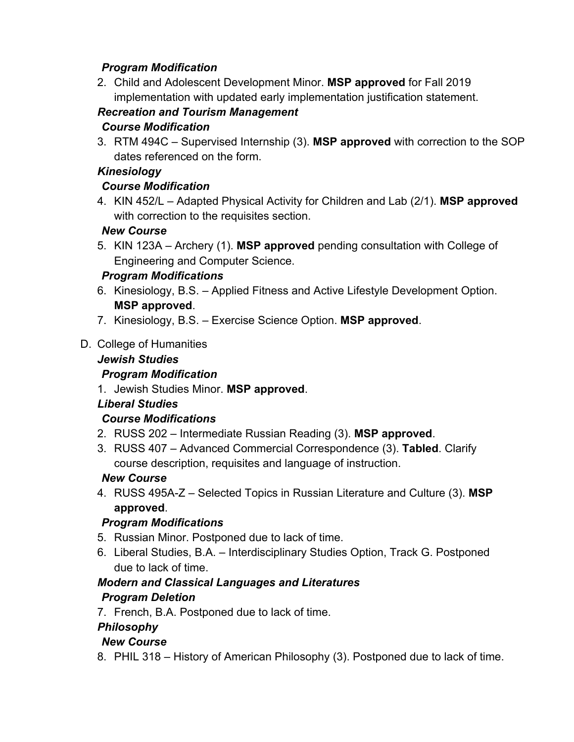## *Program Modification*

2. Child and Adolescent Development Minor. **MSP approved** for Fall 2019 implementation with updated early implementation justification statement.

# *Recreation and Tourism Management*

#### *Course Modification*

3. RTM 494C – Supervised Internship (3). **MSP approved** with correction to the SOP dates referenced on the form.

## *Kinesiology*

## *Course Modification*

4. KIN 452/L – Adapted Physical Activity for Children and Lab (2/1). **MSP approved** with correction to the requisites section.

#### *New Course*

5. KIN 123A – Archery (1). **MSP approved** pending consultation with College of Engineering and Computer Science.

#### *Program Modifications*

- 6. Kinesiology, B.S. Applied Fitness and Active Lifestyle Development Option. **MSP approved**.
- 7. Kinesiology, B.S. Exercise Science Option. **MSP approved**.

#### D. College of Humanities

#### *Jewish Studies*

## *Program Modification*

1. Jewish Studies Minor. **MSP approved**.

## *Liberal Studies*

## *Course Modifications*

- 2. RUSS 202 Intermediate Russian Reading (3). **MSP approved**.
- 3. RUSS 407 Advanced Commercial Correspondence (3). **Tabled**. Clarify course description, requisites and language of instruction.

#### *New Course*

4. RUSS 495A-Z – Selected Topics in Russian Literature and Culture (3). **MSP approved**.

## *Program Modifications*

- 5. Russian Minor. Postponed due to lack of time.
- 6. Liberal Studies, B.A. Interdisciplinary Studies Option, Track G. Postponed due to lack of time.

#### *Modern and Classical Languages and Literatures Program Deletion*

7. French, B.A. Postponed due to lack of time.

## *Philosophy*

## *New Course*

8. PHIL 318 – History of American Philosophy (3). Postponed due to lack of time.